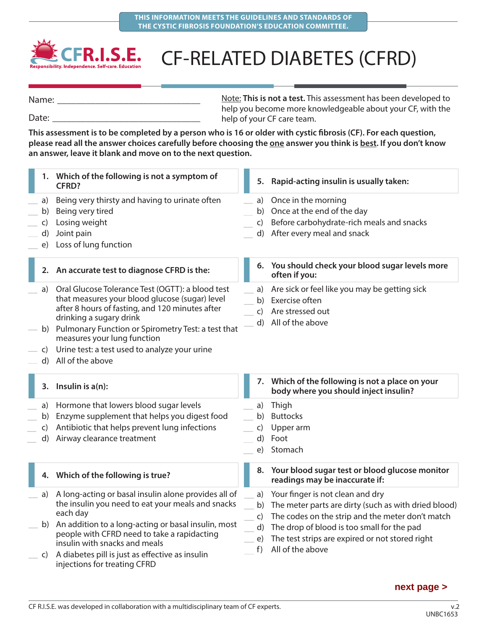

## CF-RELATED DIABETES (CFRD)

Note: **This is not a test.** This assessment has been developed to help you become more knowledgeable about your CF, with the help of your CF care team. Name: Date:

**This assessment is to be completed by a person who is 16 or older with cystic fibrosis (CF). For each question,**  please read all the answer choices carefully before choosing the one answer you think is best. If you don't know **an answer, leave it blank and move on to the next question.**

|                                | 1. Which of the following is not a symptom of<br><b>CFRD?</b>                                                                                                                                                                                                                                                                                 | 5. Rapid-acting insulin is usually taken:                                                                                                         |
|--------------------------------|-----------------------------------------------------------------------------------------------------------------------------------------------------------------------------------------------------------------------------------------------------------------------------------------------------------------------------------------------|---------------------------------------------------------------------------------------------------------------------------------------------------|
| a)<br>b)<br>C)<br>d)<br>e)     | Being very thirsty and having to urinate often<br>Being very tired<br>Losing weight<br>Joint pain<br>Loss of lung function                                                                                                                                                                                                                    | Once in the morning<br>a)<br>Once at the end of the day<br>b)<br>Before carbohydrate-rich meals and snacks<br>C)<br>d) After every meal and snack |
|                                | 2. An accurate test to diagnose CFRD is the:                                                                                                                                                                                                                                                                                                  | 6. You should check your blood sugar levels more<br>often if you:                                                                                 |
| a)<br>C)<br>d)                 | Oral Glucose Tolerance Test (OGTT): a blood test<br>that measures your blood glucose (sugar) level<br>after 8 hours of fasting, and 120 minutes after<br>drinking a sugary drink<br>b) Pulmonary Function or Spirometry Test: a test that<br>measures your lung function<br>Urine test: a test used to analyze your urine<br>All of the above | Are sick or feel like you may be getting sick<br>a)<br>Exercise often<br>b)<br>Are stressed out<br>$\mathsf{C}$<br>d) All of the above            |
|                                |                                                                                                                                                                                                                                                                                                                                               |                                                                                                                                                   |
|                                | 3. Insulin is $a(n)$ :                                                                                                                                                                                                                                                                                                                        | 7. Which of the following is not a place on your<br>body where you should inject insulin?                                                         |
| a)<br>b)<br>$\mathsf{C}$<br>d) | Hormone that lowers blood sugar levels<br>Enzyme supplement that helps you digest food<br>Antibiotic that helps prevent lung infections<br>Airway clearance treatment                                                                                                                                                                         | Thigh<br>a)<br>b)<br><b>Buttocks</b><br>Upper arm<br>$\mathsf{C}$<br>d)<br>Foot<br>Stomach<br>e)                                                  |
|                                | 4. Which of the following is true?                                                                                                                                                                                                                                                                                                            | Your blood sugar test or blood glucose monitor<br>8.<br>readings may be inaccurate if:                                                            |